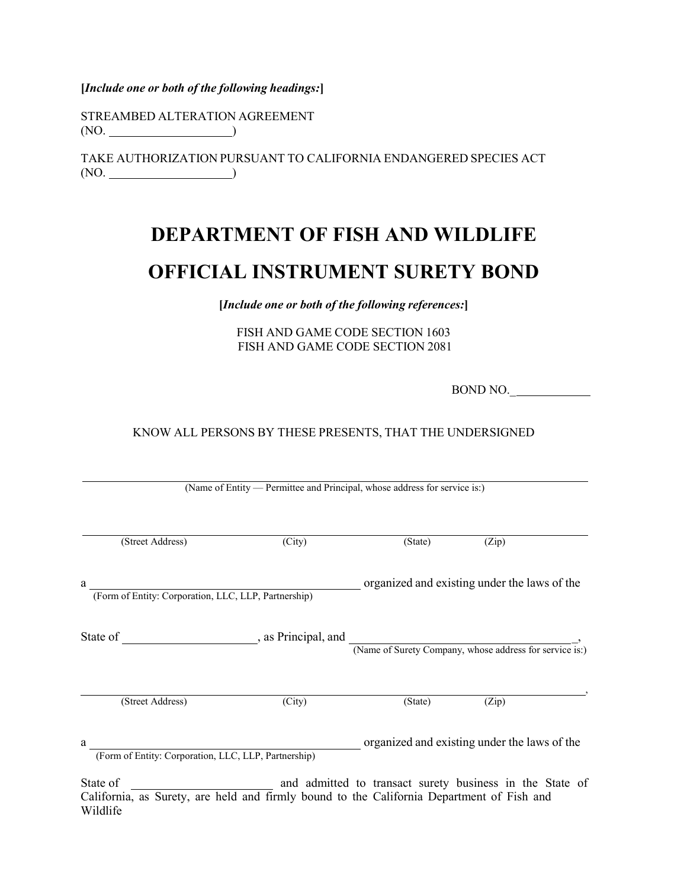**[***Include one or both of the following headings:***]**

STREAMBED ALTERATION AGREEMENT (NO.  $\qquad \qquad$ )

Wildlife

TAKE AUTHORIZATION PURSUANT TO CALIFORNIA ENDANGERED SPECIES ACT  $(NO.$   $)$ 

# **DEPARTMENT OF FISH AND WILDLIFE OFFICIAL INSTRUMENT SURETY BOND**

**[***Include one or both of the following references:***]**

FISH AND GAME CODE SECTION 1603 FISH AND GAME CODE SECTION 2081

BOND NO.\_

## KNOW ALL PERSONS BY THESE PRESENTS, THAT THE UNDERSIGNED

| (Name of Entity — Permittee and Principal, whose address for service is:)                             |                                                          |                                              |       |  |
|-------------------------------------------------------------------------------------------------------|----------------------------------------------------------|----------------------------------------------|-------|--|
| (Street Address)                                                                                      | (City)                                                   | (State)                                      | (Zip) |  |
| a<br>(Form of Entity: Corporation, LLC, LLP, Partnership)                                             |                                                          | organized and existing under the laws of the |       |  |
|                                                                                                       |                                                          |                                              |       |  |
| (Street Address)                                                                                      | (City)                                                   | (State)                                      | (Zip) |  |
| a<br>(Form of Entity: Corporation, LLC, LLP, Partnership)                                             |                                                          | organized and existing under the laws of the |       |  |
| State of<br>California, as Surety, are held and firmly bound to the California Department of Fish and | and admitted to transact surety business in the State of |                                              |       |  |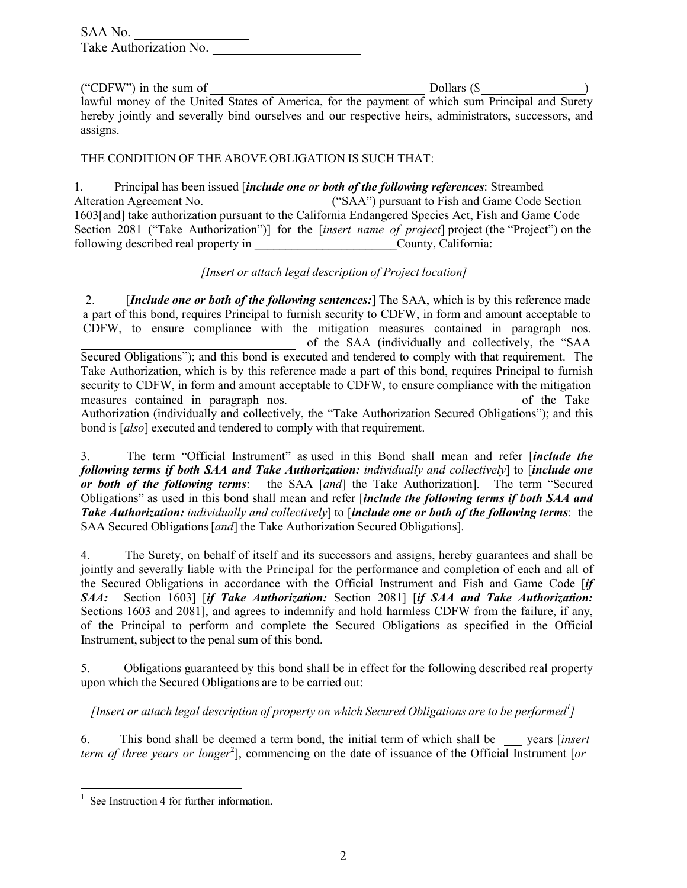| SAA No.                |  |
|------------------------|--|
| Take Authorization No. |  |

("CDFW") in the sum of  $\sqrt{ }$  Dollars (\$ $\sqrt{ }$ lawful money of the United States of America, for the payment of which sum Principal and Surety hereby jointly and severally bind ourselves and our respective heirs, administrators, successors, and assigns.

### THE CONDITION OF THE ABOVE OBLIGATION IS SUCH THAT:

1. Principal has been issued [*include one or both of the following references*: Streambed Alteration Agreement No. ("SAA") pursuant to Fish and Game Code Section 1603[and] take authorization pursuant to the California Endangered Species Act, Fish and Game Code Section 2081 ("Take Authorization")] for the [*insert name of project*] project (the "Project") on the following described real property in  $\Box$  County, California:

## *[Insert or attach legal description of Project location]*

2. [*Include one or both of the following sentences:*] The SAA, which is by this reference made a part of this bond, requires Principal to furnish security to CDFW, in form and amount acceptable to CDFW, to ensure compliance with the mitigation measures contained in paragraph nos. of the SAA (individually and collectively, the "SAA Secured Obligations"); and this bond is executed and tendered to comply with that requirement. The Take Authorization, which is by this reference made a part of this bond, requires Principal to furnish security to CDFW, in form and amount acceptable to CDFW, to ensure compliance with the mitigation measures contained in paragraph nos. of the Take Authorization (individually and collectively, the "Take Authorization Secured Obligations"); and this bond is [*also*] executed and tendered to comply with that requirement.

3. The term "Official Instrument" as used in this Bond shall mean and refer [*include the following terms if both SAA and Take Authorization: individually and collectively*] to [*include one or both of the following terms*: the SAA [*and*] the Take Authorization]. The term "Secured Obligations" as used in this bond shall mean and refer [*include the following terms if both SAA and Take Authorization: individually and collectively*] to [*include one or both of the following terms*: the SAA Secured Obligations[*and*] the Take Authorization Secured Obligations].

4. The Surety, on behalf of itself and its successors and assigns, hereby guarantees and shall be jointly and severally liable with the Principal for the performance and completion of each and all of the Secured Obligations in accordance with the Official Instrument and Fish and Game Code [*if SAA:* Section 1603] [*if Take Authorization:* Section 2081] [*if SAA and Take Authorization:*  Sections 1603 and 2081], and agrees to indemnify and hold harmless CDFW from the failure, if any, of the Principal to perform and complete the Secured Obligations as specified in the Official Instrument, subject to the penal sum of this bond.

5. Obligations guaranteed by this bond shall be in effect for the following described real property upon which the Secured Obligations are to be carried out:

*[Insert or attach legal description of property on which Secured Obligations are to be performed<sup>1</sup> ]*

6. This bond shall be deemed a term bond, the initial term of which shall be years [*insert term of three years or longer*<sup>2</sup> ], commencing on the date of issuance of the Official Instrument [*or*

 $<sup>1</sup>$  See Instruction 4 for further information.</sup>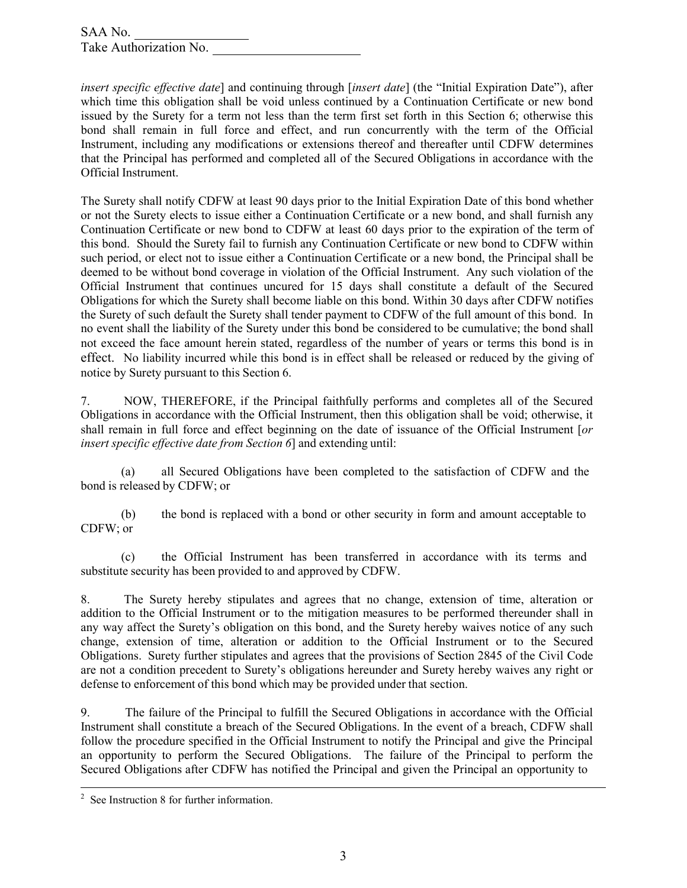*insert specific effective date*] and continuing through [*insert date*] (the "Initial Expiration Date"), after which time this obligation shall be void unless continued by a Continuation Certificate or new bond issued by the Surety for a term not less than the term first set forth in this Section 6; otherwise this bond shall remain in full force and effect, and run concurrently with the term of the Official Instrument, including any modifications or extensions thereof and thereafter until CDFW determines that the Principal has performed and completed all of the Secured Obligations in accordance with the Official Instrument.

The Surety shall notify CDFW at least 90 days prior to the Initial Expiration Date of this bond whether or not the Surety elects to issue either a Continuation Certificate or a new bond, and shall furnish any Continuation Certificate or new bond to CDFW at least 60 days prior to the expiration of the term of this bond. Should the Surety fail to furnish any Continuation Certificate or new bond to CDFW within such period, or elect not to issue either a Continuation Certificate or a new bond, the Principal shall be deemed to be without bond coverage in violation of the Official Instrument. Any such violation of the Official Instrument that continues uncured for 15 days shall constitute a default of the Secured Obligations for which the Surety shall become liable on this bond. Within 30 days after CDFW notifies the Surety of such default the Surety shall tender payment to CDFW of the full amount of this bond. In no event shall the liability of the Surety under this bond be considered to be cumulative; the bond shall not exceed the face amount herein stated, regardless of the number of years or terms this bond is in effect. No liability incurred while this bond is in effect shall be released or reduced by the giving of notice by Surety pursuant to this Section 6.

7. NOW, THEREFORE, if the Principal faithfully performs and completes all of the Secured Obligations in accordance with the Official Instrument, then this obligation shall be void; otherwise, it shall remain in full force and effect beginning on the date of issuance of the Official Instrument [*or insert specific effective date from Section 6*] and extending until:

(a) all Secured Obligations have been completed to the satisfaction of CDFW and the bond is released by CDFW; or

(b) the bond is replaced with a bond or other security in form and amount acceptable to CDFW; or

(c) the Official Instrument has been transferred in accordance with its terms and substitute security has been provided to and approved by CDFW.

8. The Surety hereby stipulates and agrees that no change, extension of time, alteration or addition to the Official Instrument or to the mitigation measures to be performed thereunder shall in any way affect the Surety's obligation on this bond, and the Surety hereby waives notice of any such change, extension of time, alteration or addition to the Official Instrument or to the Secured Obligations. Surety further stipulates and agrees that the provisions of Section 2845 of the Civil Code are not a condition precedent to Surety's obligations hereunder and Surety hereby waives any right or defense to enforcement of this bond which may be provided under that section.

9. The failure of the Principal to fulfill the Secured Obligations in accordance with the Official Instrument shall constitute a breach of the Secured Obligations. In the event of a breach, CDFW shall follow the procedure specified in the Official Instrument to notify the Principal and give the Principal an opportunity to perform the Secured Obligations. The failure of the Principal to perform the Secured Obligations after CDFW has notified the Principal and given the Principal an opportunity to

<sup>&</sup>lt;sup>2</sup> See Instruction 8 for further information.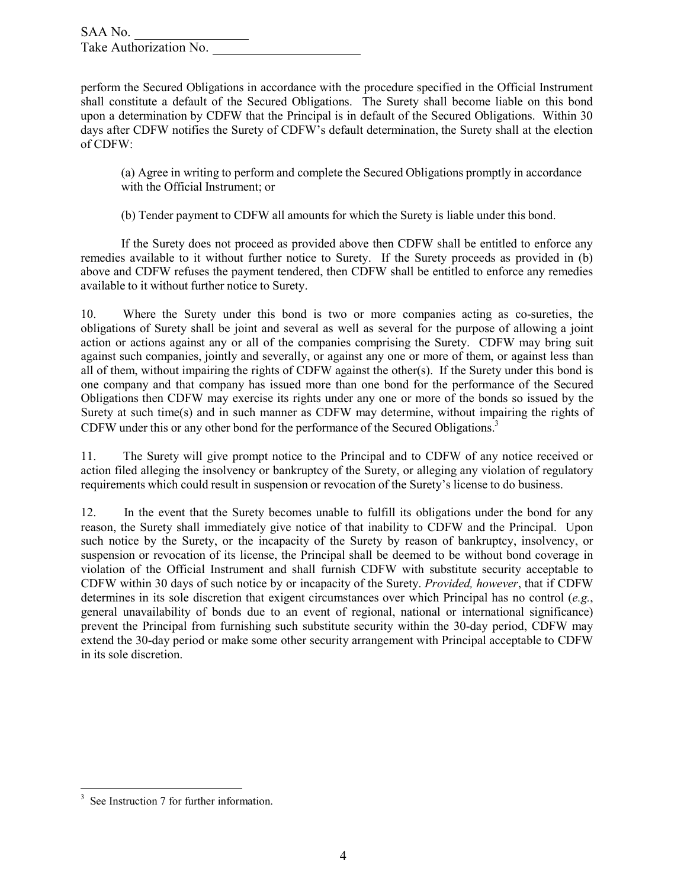perform the Secured Obligations in accordance with the procedure specified in the Official Instrument shall constitute a default of the Secured Obligations. The Surety shall become liable on this bond upon a determination by CDFW that the Principal is in default of the Secured Obligations. Within 30 days after CDFW notifies the Surety of CDFW's default determination, the Surety shall at the election of CDFW:

(a) Agree in writing to perform and complete the Secured Obligations promptly in accordance with the Official Instrument; or

(b) Tender payment to CDFW all amounts for which the Surety is liable under this bond.

If the Surety does not proceed as provided above then CDFW shall be entitled to enforce any remedies available to it without further notice to Surety. If the Surety proceeds as provided in (b) above and CDFW refuses the payment tendered, then CDFW shall be entitled to enforce any remedies available to it without further notice to Surety.

10. Where the Surety under this bond is two or more companies acting as co-sureties, the obligations of Surety shall be joint and several as well as several for the purpose of allowing a joint action or actions against any or all of the companies comprising the Surety. CDFW may bring suit against such companies, jointly and severally, or against any one or more of them, or against less than all of them, without impairing the rights of CDFW against the other(s). If the Surety under this bond is one company and that company has issued more than one bond for the performance of the Secured Obligations then CDFW may exercise its rights under any one or more of the bonds so issued by the Surety at such time(s) and in such manner as CDFW may determine, without impairing the rights of CDFW under this or any other bond for the performance of the Secured Obligations.<sup>3</sup>

11. The Surety will give prompt notice to the Principal and to CDFW of any notice received or action filed alleging the insolvency or bankruptcy of the Surety, or alleging any violation of regulatory requirements which could result in suspension or revocation of the Surety's license to do business.

12. In the event that the Surety becomes unable to fulfill its obligations under the bond for any reason, the Surety shall immediately give notice of that inability to CDFW and the Principal. Upon such notice by the Surety, or the incapacity of the Surety by reason of bankruptcy, insolvency, or suspension or revocation of its license, the Principal shall be deemed to be without bond coverage in violation of the Official Instrument and shall furnish CDFW with substitute security acceptable to CDFW within 30 days of such notice by or incapacity of the Surety. *Provided, however*, that if CDFW determines in its sole discretion that exigent circumstances over which Principal has no control (*e.g.*, general unavailability of bonds due to an event of regional, national or international significance) prevent the Principal from furnishing such substitute security within the 30-day period, CDFW may extend the 30-day period or make some other security arrangement with Principal acceptable to CDFW in its sole discretion.

<sup>&</sup>lt;sup>3</sup> See Instruction 7 for further information.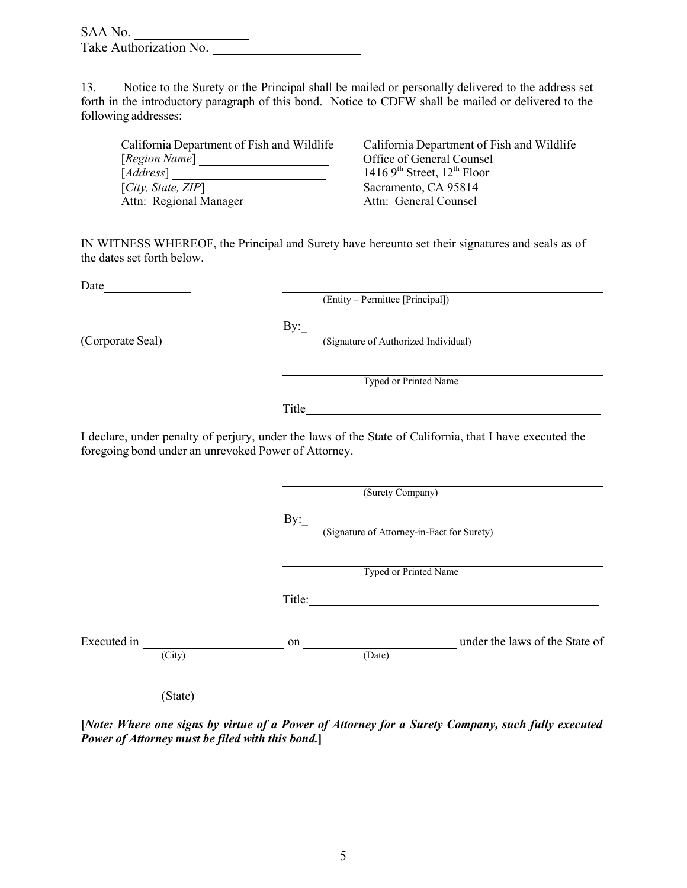| SAA No. |                        |  |
|---------|------------------------|--|
|         | Take Authorization No. |  |

13. Notice to the Surety or the Principal shall be mailed or personally delivered to the address set forth in the introductory paragraph of this bond. Notice to CDFW shall be mailed or delivered to the following addresses:

[*Region Name*] [*Address*] [*City, State, ZIP*] Attn: Regional Manager

California Department of Fish and Wildlife California Department of Fish and Wildlife Office of General Counsel  $14169<sup>th</sup>$  Street,  $12<sup>th</sup>$  Floor Sacramento, CA 95814<br>Attn: General Counsel

IN WITNESS WHEREOF, the Principal and Surety have hereunto set their signatures and seals as of the dates set forth below.

Date

(Entity – Permittee [Principal])

(Corporate Seal) By: Gignature of Authorized Individual)

Typed or Printed Name

Title **The Community of the Community of the Community** of the Community of the Community of the Community of the Community of the Community of the Community of the Community of the Community of the Community of the Commun

By:\_

I declare, under penalty of perjury, under the laws of the State of California, that I have executed the foregoing bond under an unrevoked Power of Attorney.

|                       |              | (Surety Company)                           |
|-----------------------|--------------|--------------------------------------------|
|                       | By:          | (Signature of Attorney-in-Fact for Surety) |
|                       |              | <b>Typed or Printed Name</b>               |
|                       | Title:       |                                            |
| Executed in<br>(City) | on<br>(Date) | under the laws of the State of             |
|                       |              |                                            |

(State)

[Note: Where one signs by virtue of a Power of Attorney for a Surety Company, such fully executed *Power of Attorney must be filed with this bond.***]**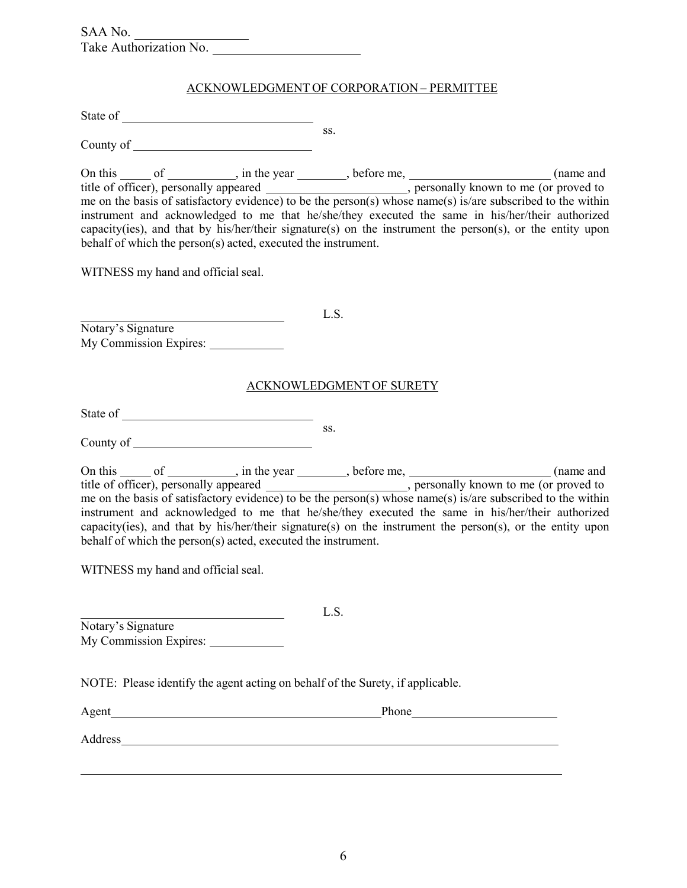| SAA No.                |  |
|------------------------|--|
| Take Authorization No. |  |

#### ACKNOWLEDGMENT OF CORPORATION – PERMITTEE

ss.

State of

County of

On this  $\frac{1}{\sqrt{1-\frac{1}{\sqrt{1-\frac{1}{\sqrt{1-\frac{1}{\sqrt{1-\frac{1}{\sqrt{1-\frac{1}{\sqrt{1-\frac{1}{\sqrt{1-\frac{1}{\sqrt{1-\frac{1}{\sqrt{1-\frac{1}{\sqrt{1-\frac{1}{\sqrt{1-\frac{1}{\sqrt{1-\frac{1}{\sqrt{1-\frac{1}{\sqrt{1-\frac{1}{\sqrt{1-\frac{1}{\sqrt{1-\frac{1}{\sqrt{1-\frac{1}{\sqrt{1-\frac{1}{\sqrt{1-\frac{1}{\sqrt{1-\frac{1}{\sqrt{1-\frac{1}{\sqrt{1-\frac{1}{\sqrt{1-\frac{1}{$ title of officer), personally appeared \_\_\_\_\_\_\_\_\_\_\_\_\_\_\_\_\_\_\_\_\_\_\_, personally known to me (or proved to me on the basis of satisfactory evidence) to be the person(s) whose name(s) is/are subscribed to the within instrument and acknowledged to me that he/she/they executed the same in his/her/their authorized capacity(ies), and that by his/her/their signature(s) on the instrument the person(s), or the entity upon behalf of which the person(s) acted, executed the instrument.

WITNESS my hand and official seal.

Notary's Signature My Commission Expires:

#### ACKNOWLEDGMENT OF SURETY

L.S.

State of

County of ss.

On this  $\_\_\_$  of  $\_\_\_\_\$ , in the year  $\_\_\_\$ , before me,  $\_\_\_\_\_\_\_\_\_\_\_\_$  (name and title of officer), personally appeared entitled by personally known to me (or proved to me on the basis of satisfactory evidence) to be the person(s) whose name(s) is/are subscribed to the within instrument and acknowledged to me that he/she/they executed the same in his/her/their authorized capacity(ies), and that by his/her/their signature(s) on the instrument the person(s), or the entity upon behalf of which the person(s) acted, executed the instrument.

L.S.

WITNESS my hand and official seal.

Notary's Signature My Commission Expires:

NOTE: Please identify the agent acting on behalf of the Surety, if applicable.

| Agent   | Phone |  |
|---------|-------|--|
| Address |       |  |
|         |       |  |
|         |       |  |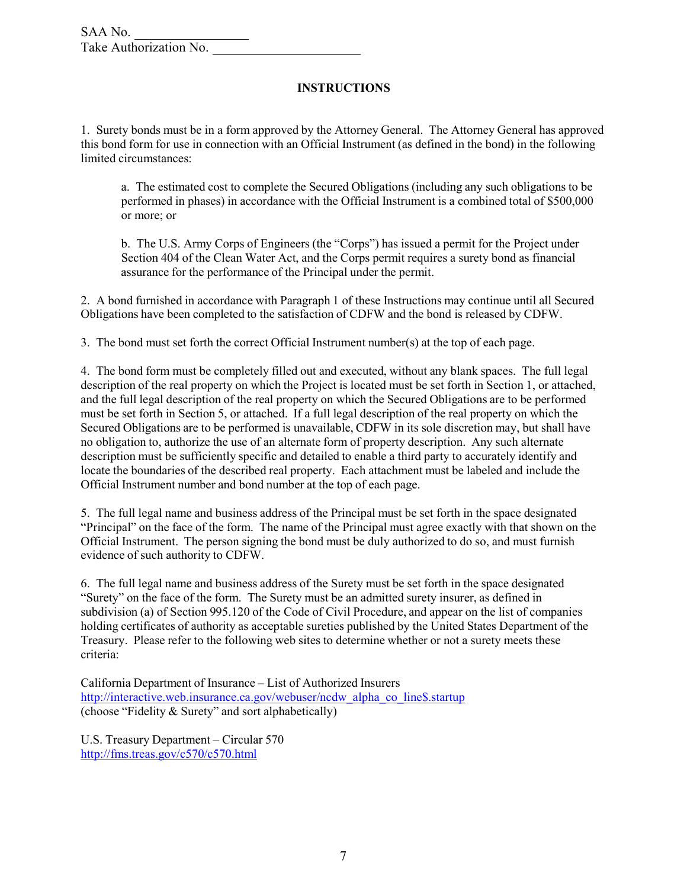#### **INSTRUCTIONS**

1. Surety bonds must be in a form approved by the Attorney General. The Attorney General has approved this bond form for use in connection with an Official Instrument (as defined in the bond) in the following limited circumstances:

a. The estimated cost to complete the Secured Obligations (including any such obligations to be performed in phases) in accordance with the Official Instrument is a combined total of \$500,000 or more; or

b. The U.S. Army Corps of Engineers (the "Corps") has issued a permit for the Project under Section 404 of the Clean Water Act, and the Corps permit requires a surety bond as financial assurance for the performance of the Principal under the permit.

2. A bond furnished in accordance with Paragraph 1 of these Instructions may continue until all Secured Obligations have been completed to the satisfaction of CDFW and the bond is released by CDFW.

3. The bond must set forth the correct Official Instrument number(s) at the top of each page.

4. The bond form must be completely filled out and executed, without any blank spaces. The full legal description of the real property on which the Project is located must be set forth in Section 1, or attached, and the full legal description of the real property on which the Secured Obligations are to be performed must be set forth in Section 5, or attached. If a full legal description of the real property on which the Secured Obligations are to be performed is unavailable, CDFW in its sole discretion may, but shall have no obligation to, authorize the use of an alternate form of property description. Any such alternate description must be sufficiently specific and detailed to enable a third party to accurately identify and locate the boundaries of the described real property. Each attachment must be labeled and include the Official Instrument number and bond number at the top of each page.

5. The full legal name and business address of the Principal must be set forth in the space designated "Principal" on the face of the form. The name of the Principal must agree exactly with that shown on the Official Instrument. The person signing the bond must be duly authorized to do so, and must furnish evidence of such authority to CDFW.

6. The full legal name and business address of the Surety must be set forth in the space designated "Surety" on the face of the form. The Surety must be an admitted surety insurer, as defined in subdivision (a) of Section 995.120 of the Code of Civil Procedure, and appear on the list of companies holding certificates of authority as acceptable sureties published by the United States Department of the Treasury. Please refer to the following web sites to determine whether or not a surety meets these criteria:

California Department of Insurance – List of Authorized Insurers [http://interactive.web.insurance.ca.gov/webuser/ncdw\\_alpha\\_co\\_line\\$.startup](http://interactive.web.insurance.ca.gov/webuser/ncdw_alpha_co_line%24.startup) (choose "Fidelity & Surety" and sort alphabetically)

U.S. Treasury Department – Circular 570 <http://fms.treas.gov/c570/c570.html>